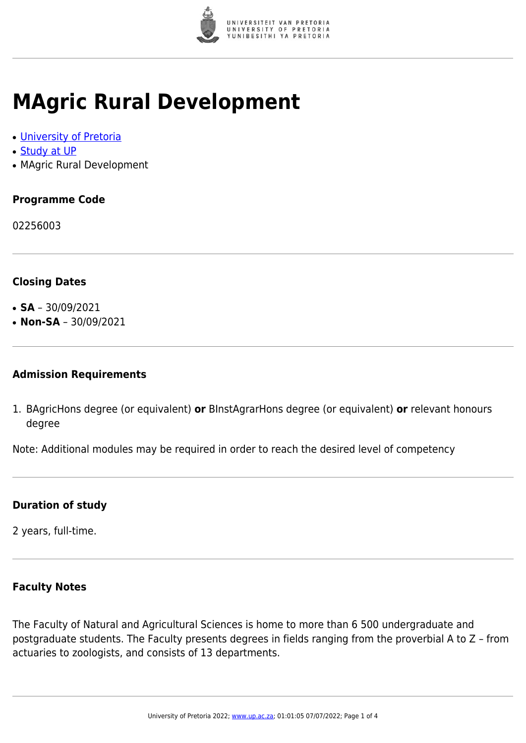

# **MAgric Rural Development**

- [University of Pretoria](https://www.up.ac.za/home)
- [Study at UP](https://www.up.ac.za/programmes)
- MAgric Rural Development

## **Programme Code**

02256003

### **Closing Dates**

- $\cdot$  **SA** 30/09/2021
- $\cdot$  **Non-SA** 30/09/2021

#### **Admission Requirements**

1. BAgricHons degree (or equivalent) **or** BInstAgrarHons degree (or equivalent) **or** relevant honours degree

Note: Additional modules may be required in order to reach the desired level of competency

### **Duration of study**

2 years, full-time.

### **Faculty Notes**

The Faculty of Natural and Agricultural Sciences is home to more than 6 500 undergraduate and postgraduate students. The Faculty presents degrees in fields ranging from the proverbial A to Z – from actuaries to zoologists, and consists of 13 departments.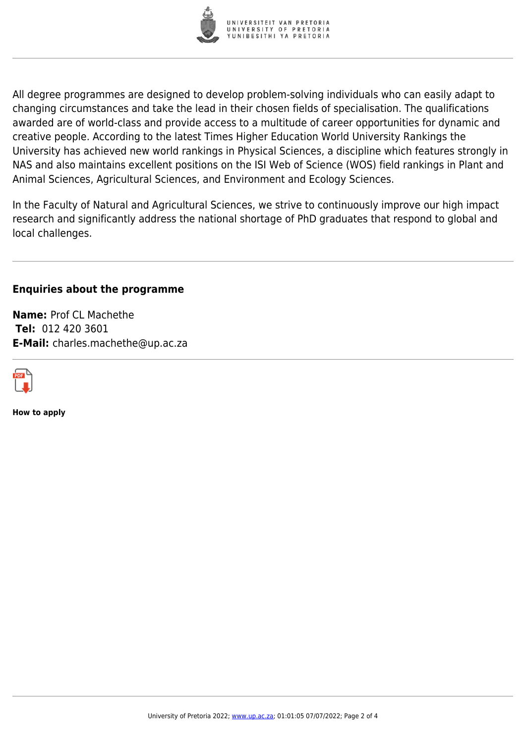

All degree programmes are designed to develop problem-solving individuals who can easily adapt to changing circumstances and take the lead in their chosen fields of specialisation. The qualifications awarded are of world-class and provide access to a multitude of career opportunities for dynamic and creative people. According to the latest Times Higher Education World University Rankings the University has achieved new world rankings in Physical Sciences, a discipline which features strongly in NAS and also maintains excellent positions on the ISI Web of Science (WOS) field rankings in Plant and Animal Sciences, Agricultural Sciences, and Environment and Ecology Sciences.

In the Faculty of Natural and Agricultural Sciences, we strive to continuously improve our high impact research and significantly address the national shortage of PhD graduates that respond to global and local challenges.

#### **Enquiries about the programme**

**Name:** Prof CL Machethe **Tel:** 012 420 3601 **E-Mail:** charles.machethe@up.ac.za



**How to apply**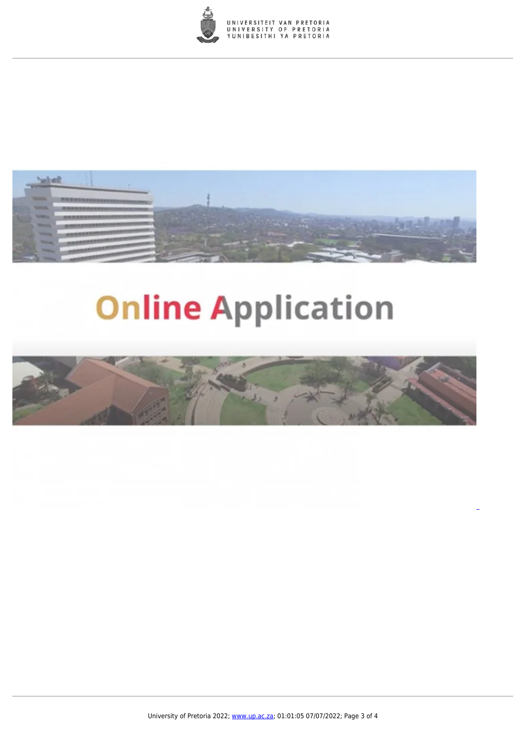



# **Online Application**